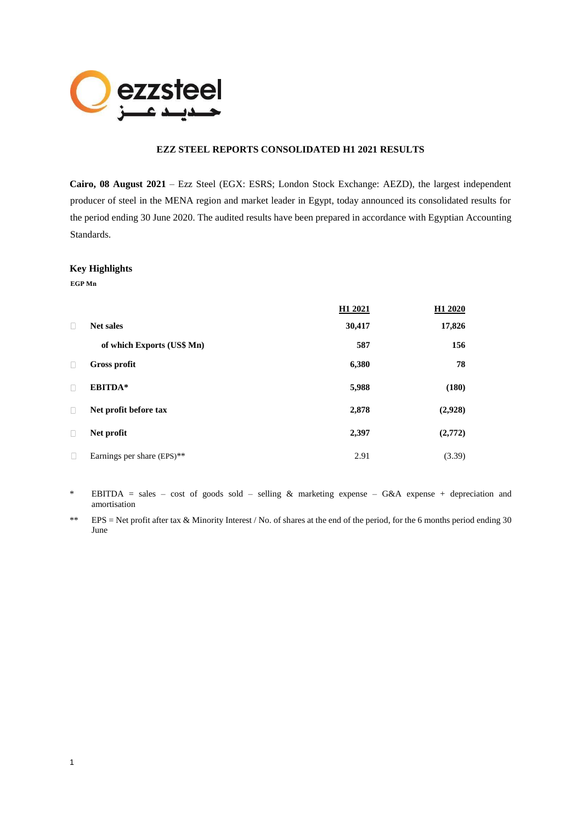

# **EZZ STEEL REPORTS CONSOLIDATED H1 2021 RESULTS**

**Cairo, 08 August 2021** – Ezz Steel (EGX: ESRS; London Stock Exchange: AEZD), the largest independent producer of steel in the MENA region and market leader in Egypt, today announced its consolidated results for the period ending 30 June 2020. The audited results have been prepared in accordance with Egyptian Accounting Standards.

#### **Key Highlights**

**EGP Mn**

1

|        |                            | H1 2021 | H1 2020 |
|--------|----------------------------|---------|---------|
| П      | <b>Net sales</b>           | 30,417  | 17,826  |
|        | of which Exports (US\$ Mn) | 587     | 156     |
| П      | <b>Gross profit</b>        | 6,380   | 78      |
| П      | EBITDA*                    | 5,988   | (180)   |
| П      | Net profit before tax      | 2,878   | (2,928) |
| $\Box$ | Net profit                 | 2,397   | (2,772) |
| П      | Earnings per share (EPS)** | 2.91    | (3.39)  |

\* EBITDA = sales – cost of goods sold – selling & marketing expense – G&A expense + depreciation and amortisation

\*\* EPS = Net profit after tax & Minority Interest / No. of shares at the end of the period, for the 6 months period ending 30 June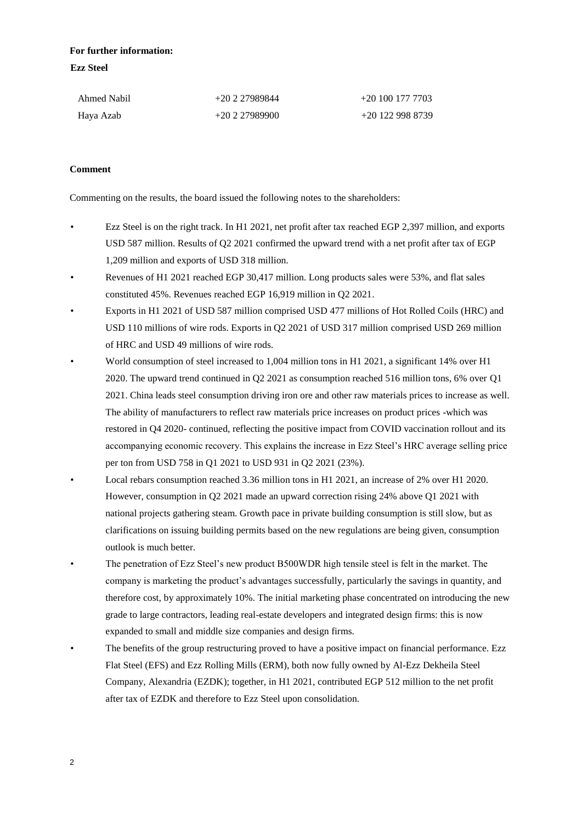# **For further information: Ezz Steel**

| Ahmed Nabil | +20 2 27989844 | $+201001777703$ |
|-------------|----------------|-----------------|
| Haya Azab   | $+20227989900$ | $+201229988739$ |

# **Comment**

Commenting on the results, the board issued the following notes to the shareholders:

- Ezz Steel is on the right track. In H1 2021, net profit after tax reached EGP 2,397 million, and exports USD 587 million. Results of Q2 2021 confirmed the upward trend with a net profit after tax of EGP 1,209 million and exports of USD 318 million.
- Revenues of H1 2021 reached EGP 30,417 million. Long products sales were 53%, and flat sales constituted 45%. Revenues reached EGP 16,919 million in Q2 2021.
- Exports in H1 2021 of USD 587 million comprised USD 477 millions of Hot Rolled Coils (HRC) and USD 110 millions of wire rods. Exports in Q2 2021 of USD 317 million comprised USD 269 million of HRC and USD 49 millions of wire rods.
- World consumption of steel increased to 1,004 million tons in H1 2021, a significant 14% over H1 2020. The upward trend continued in Q2 2021 as consumption reached 516 million tons, 6% over Q1 2021. China leads steel consumption driving iron ore and other raw materials prices to increase as well. The ability of manufacturers to reflect raw materials price increases on product prices -which was restored in Q4 2020- continued, reflecting the positive impact from COVID vaccination rollout and its accompanying economic recovery. This explains the increase in Ezz Steel's HRC average selling price per ton from USD 758 in Q1 2021 to USD 931 in Q2 2021 (23%).
- Local rebars consumption reached 3.36 million tons in H1 2021, an increase of 2% over H1 2020. However, consumption in Q2 2021 made an upward correction rising 24% above Q1 2021 with national projects gathering steam. Growth pace in private building consumption is still slow, but as clarifications on issuing building permits based on the new regulations are being given, consumption outlook is much better.
- The penetration of Ezz Steel's new product B500WDR high tensile steel is felt in the market. The company is marketing the product's advantages successfully, particularly the savings in quantity, and therefore cost, by approximately 10%. The initial marketing phase concentrated on introducing the new grade to large contractors, leading real-estate developers and integrated design firms: this is now expanded to small and middle size companies and design firms.
- The benefits of the group restructuring proved to have a positive impact on financial performance. Ezz Flat Steel (EFS) and Ezz Rolling Mills (ERM), both now fully owned by Al-Ezz Dekheila Steel Company, Alexandria (EZDK); together, in H1 2021, contributed EGP 512 million to the net profit after tax of EZDK and therefore to Ezz Steel upon consolidation.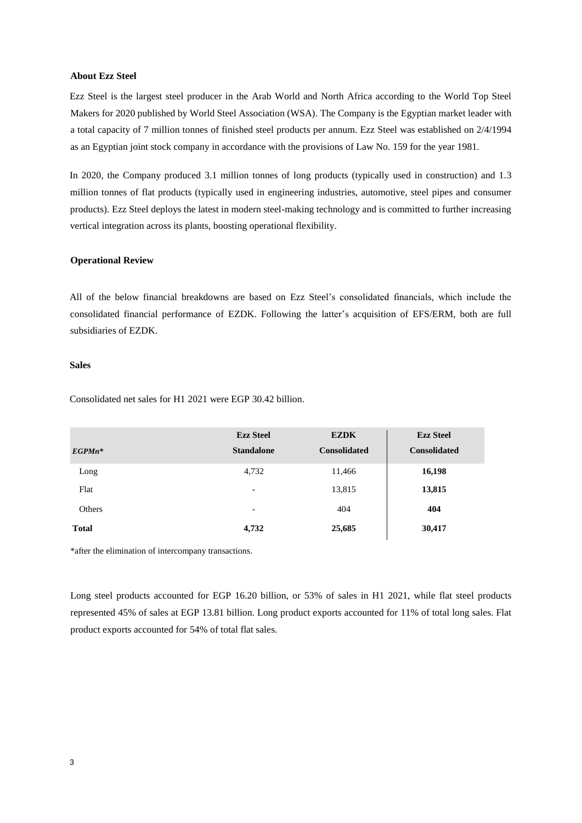#### **About Ezz Steel**

Ezz Steel is the largest steel producer in the Arab World and North Africa according to the World Top Steel Makers for 2020 published by World Steel Association (WSA). The Company is the Egyptian market leader with a total capacity of 7 million tonnes of finished steel products per annum. Ezz Steel was established on 2/4/1994 as an Egyptian joint stock company in accordance with the provisions of Law No. 159 for the year 1981.

In 2020, the Company produced 3.1 million tonnes of long products (typically used in construction) and 1.3 million tonnes of flat products (typically used in engineering industries, automotive, steel pipes and consumer products). Ezz Steel deploys the latest in modern steel-making technology and is committed to further increasing vertical integration across its plants, boosting operational flexibility.

#### **Operational Review**

All of the below financial breakdowns are based on Ezz Steel's consolidated financials, which include the consolidated financial performance of EZDK. Following the latter's acquisition of EFS/ERM, both are full subsidiaries of EZDK.

## **Sales**

Consolidated net sales for H1 2021 were EGP 30.42 billion.

|              | <b>Ezz Steel</b>         | <b>EZDK</b>         | <b>Ezz Steel</b>    |
|--------------|--------------------------|---------------------|---------------------|
| $EGP M n^*$  | <b>Standalone</b>        | <b>Consolidated</b> | <b>Consolidated</b> |
| Long         | 4,732                    | 11,466              | 16,198              |
| Flat         | $\overline{\phantom{a}}$ | 13,815              | 13,815              |
| Others       | $\overline{\phantom{a}}$ | 404                 | 404                 |
| <b>Total</b> | 4,732                    | 25,685              | 30,417              |

\*after the elimination of intercompany transactions.

Long steel products accounted for EGP 16.20 billion, or 53% of sales in H1 2021, while flat steel products represented 45% of sales at EGP 13.81 billion. Long product exports accounted for 11% of total long sales. Flat product exports accounted for 54% of total flat sales.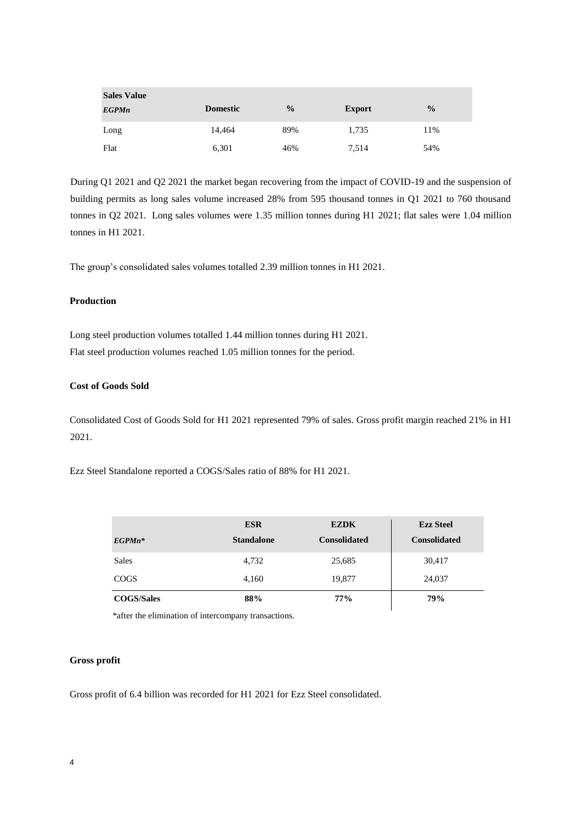| <b>Sales Value</b> |                 |               |               |               |
|--------------------|-----------------|---------------|---------------|---------------|
| <b>EGPMn</b>       | <b>Domestic</b> | $\frac{0}{0}$ | <b>Export</b> | $\frac{0}{0}$ |
| Long               | 14.464          | 89%           | 1,735         | 11%           |
| Flat               | 6,301           | 46%           | 7,514         | 54%           |

During Q1 2021 and Q2 2021 the market began recovering from the impact of COVID-19 and the suspension of building permits as long sales volume increased 28% from 595 thousand tonnes in Q1 2021 to 760 thousand tonnes in Q2 2021. Long sales volumes were 1.35 million tonnes during H1 2021; flat sales were 1.04 million tonnes in H1 2021.

The group's consolidated sales volumes totalled 2.39 million tonnes in H1 2021.

## **Production**

Long steel production volumes totalled 1.44 million tonnes during H1 2021. Flat steel production volumes reached 1.05 million tonnes for the period.

## **Cost of Goods Sold**

Consolidated Cost of Goods Sold for H1 2021 represented 79% of sales. Gross profit margin reached 21% in H1 2021.

Ezz Steel Standalone reported a COGS/Sales ratio of 88% for H1 2021.

|                   | <b>ESR</b>        | <b>EZDK</b>         | <b>Ezz Steel</b>    |  |
|-------------------|-------------------|---------------------|---------------------|--|
| $EGP M n^*$       | <b>Standalone</b> | <b>Consolidated</b> | <b>Consolidated</b> |  |
| <b>Sales</b>      | 4,732             | 25,685              | 30,417              |  |
| <b>COGS</b>       | 4,160             | 19,877              | 24,037              |  |
| <b>COGS/Sales</b> | 88%               | 77%                 | 79%                 |  |

\*after the elimination of intercompany transactions.

## **Gross profit**

Gross profit of 6.4 billion was recorded for H1 2021 for Ezz Steel consolidated.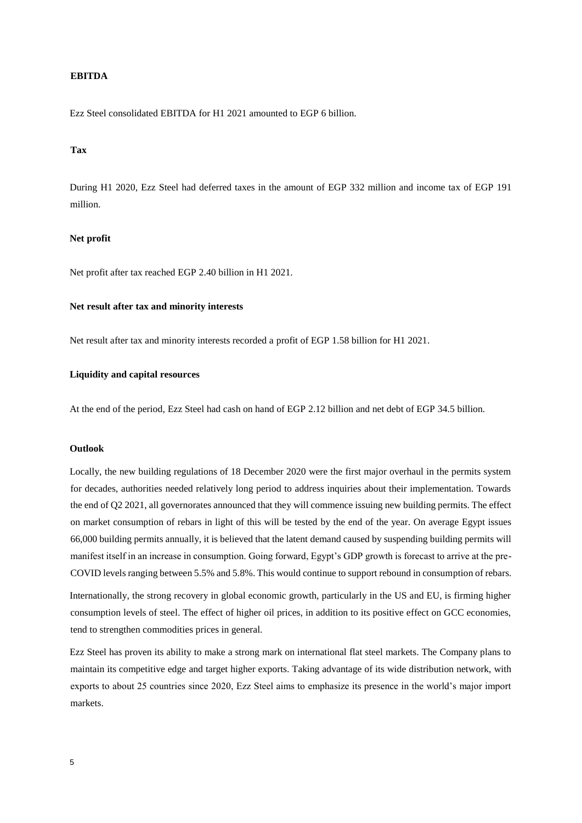## **EBITDA**

Ezz Steel consolidated EBITDA for H1 2021 amounted to EGP 6 billion.

#### **Tax**

During H1 2020, Ezz Steel had deferred taxes in the amount of EGP 332 million and income tax of EGP 191 million.

## **Net profit**

Net profit after tax reached EGP 2.40 billion in H1 2021.

## **Net result after tax and minority interests**

Net result after tax and minority interests recorded a profit of EGP 1.58 billion for H1 2021.

## **Liquidity and capital resources**

At the end of the period, Ezz Steel had cash on hand of EGP 2.12 billion and net debt of EGP 34.5 billion.

## **Outlook**

Locally, the new building regulations of 18 December 2020 were the first major overhaul in the permits system for decades, authorities needed relatively long period to address inquiries about their implementation. Towards the end of Q2 2021, all governorates announced that they will commence issuing new building permits. The effect on market consumption of rebars in light of this will be tested by the end of the year. On average Egypt issues 66,000 building permits annually, it is believed that the latent demand caused by suspending building permits will manifest itself in an increase in consumption. Going forward, Egypt's GDP growth is forecast to arrive at the pre-COVID levels ranging between 5.5% and 5.8%. This would continue to support rebound in consumption of rebars.

Internationally, the strong recovery in global economic growth, particularly in the US and EU, is firming higher consumption levels of steel. The effect of higher oil prices, in addition to its positive effect on GCC economies, tend to strengthen commodities prices in general.

Ezz Steel has proven its ability to make a strong mark on international flat steel markets. The Company plans to maintain its competitive edge and target higher exports. Taking advantage of its wide distribution network, with exports to about 25 countries since 2020, Ezz Steel aims to emphasize its presence in the world's major import markets.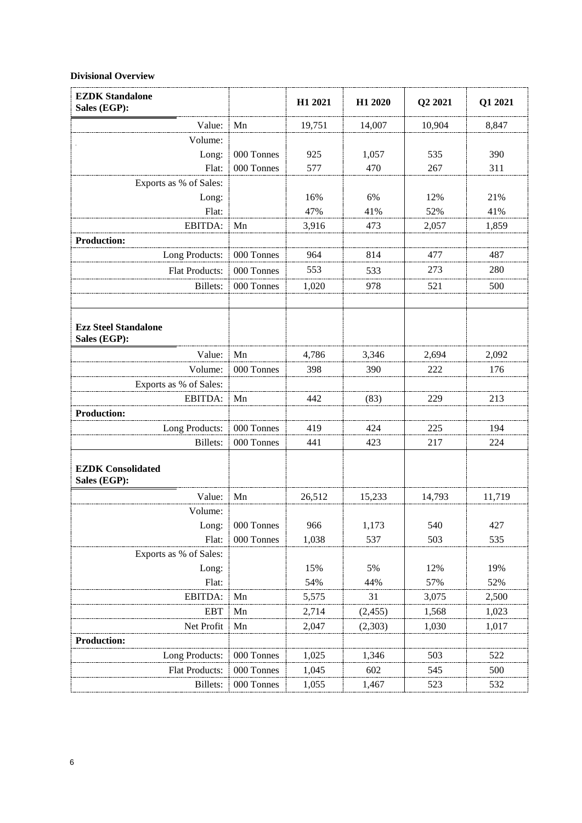# **Divisional Overview**

| <b>EZDK Standalone</b><br>Sales (EGP):      |            | H1 2021 | H1 2020  | Q2 2021 | Q1 2021 |
|---------------------------------------------|------------|---------|----------|---------|---------|
| Value:                                      | Mn         | 19,751  | 14,007   | 10,904  | 8,847   |
| Volume:                                     |            |         |          |         |         |
| Long:                                       | 000 Tonnes | 925     | 1,057    | 535     | 390     |
| Flat:                                       | 000 Tonnes | 577     | 470      | 267     | 311     |
| Exports as % of Sales:                      |            |         |          |         |         |
| Long:                                       |            | 16%     | 6%       | 12%     | 21%     |
| Flat:                                       |            | 47%     | 41%      | 52%     | 41%     |
| EBITDA:                                     | Mn         | 3,916   | 473      | 2,057   | 1,859   |
| <b>Production:</b>                          |            |         |          |         |         |
| Long Products:                              | 000 Tonnes | 964     | 814      | 477     | 487     |
| <b>Flat Products:</b>                       | 000 Tonnes | 553     | 533      | 273     | 280     |
| <b>Billets:</b>                             | 000 Tonnes | 1,020   | 978      | 521     | 500     |
|                                             |            |         |          |         |         |
| <b>Ezz Steel Standalone</b><br>Sales (EGP): |            |         |          |         |         |
| Value:                                      | Mn         | 4,786   | 3,346    | 2,694   | 2,092   |
| Volume:                                     | 000 Tonnes | 398     | 390      | 222     | 176     |
| Exports as % of Sales:                      |            |         |          |         |         |
| EBITDA:                                     | Mn         | 442     | (83)     | 229     | 213     |
| <b>Production:</b>                          |            |         |          |         |         |
| Long Products:                              | 000 Tonnes | 419     | 424      | 225     | 194     |
| <b>Billets:</b>                             | 000 Tonnes | 441     | 423      | 217     | 224     |
| <b>EZDK Consolidated</b><br>Sales (EGP):    |            |         |          |         |         |
| Value:                                      | Mn         | 26,512  | 15,233   | 14,793  | 11,719  |
| Volume:                                     |            |         |          |         |         |
| Long:                                       | 000 Tonnes | 966     | 1,173    | 540     | 427     |
| Flat:                                       | 000 Tonnes | 1,038   | 537      | 503     | 535     |
| Exports as % of Sales:                      |            |         |          |         |         |
| Long:                                       |            | 15%     | 5%       | 12%     | 19%     |
| Flat:                                       |            | 54%     | 44%      | 57%     | 52%     |
| EBITDA:                                     | Mn         | 5,575   | 31       | 3,075   | 2,500   |
| <b>EBT</b>                                  | Mn         | 2,714   | (2, 455) | 1,568   | 1,023   |
| Net Profit                                  | Mn         | 2,047   | (2,303)  | 1,030   | 1,017   |
| <b>Production:</b>                          |            |         |          |         |         |
| Long Products:                              | 000 Tonnes | 1,025   | 1,346    | 503     | 522     |
| Flat Products:                              | 000 Tonnes | 1,045   | 602      | 545     | 500     |
| Billets:                                    | 000 Tonnes | 1,055   | 1,467    | 523     | 532     |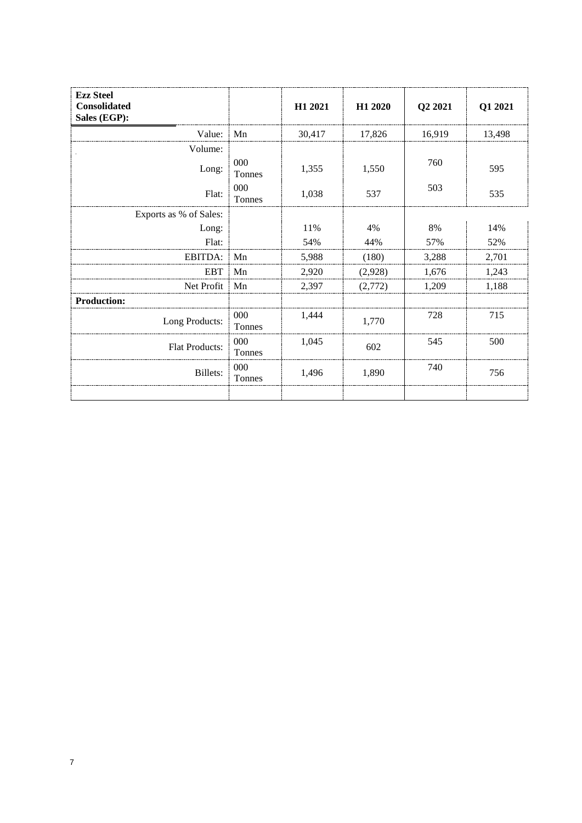| <b>Ezz Steel</b><br><b>Consolidated</b><br>Sales (EGP): |               | H1 2021 | H1 2020 | Q2 2021 | Q1 2021 |
|---------------------------------------------------------|---------------|---------|---------|---------|---------|
| Value:                                                  | Mn            | 30,417  | 17,826  | 16,919  | 13,498  |
| Volume:                                                 |               |         |         |         |         |
| Long:                                                   | 000<br>Tonnes | 1,355   | 1,550   | 760     | 595     |
| Flat:                                                   | 000<br>Tonnes | 1,038   | 537     | 503     | 535     |
| Exports as % of Sales:                                  |               |         |         |         |         |
| Long:                                                   |               | 11%     | 4%      | 8%      | 14%     |
| Flat:                                                   |               | 54%     | 44%     | 57%     | 52%     |
| EBITDA:                                                 | Mn            | 5,988   | (180)   | 3,288   | 2,701   |
| <b>EBT</b>                                              | Mn            | 2,920   | (2,928) | 1,676   | 1,243   |
| Net Profit                                              | Mn            | 2,397   | (2,772) | 1,209   | 1,188   |
| <b>Production:</b>                                      |               |         |         |         |         |
| Long Products:                                          | 000<br>Tonnes | 1,444   | 1,770   | 728     | 715     |
| Flat Products:                                          | 000<br>Tonnes | 1,045   | 602     | 545     | 500     |
| Billets:                                                | 000<br>Tonnes | 1,496   | 1,890   | 740     | 756     |
|                                                         |               |         |         |         |         |